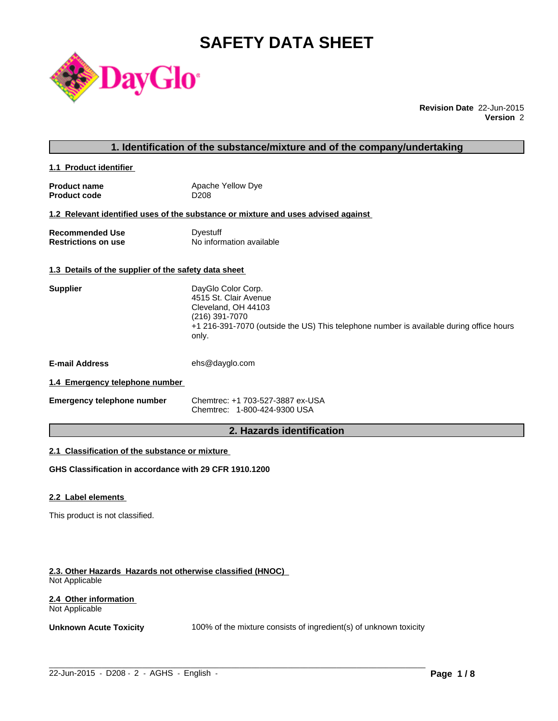# **SAFETY DATA SHEET**



**Revision Date** 22-Jun-2015 **Version** 2

# **1. Identification of the substance/mixture and of the company/undertaking**

**1.1 Product identifier** 

| <b>Product name</b> | Apache Yellow Dye |
|---------------------|-------------------|
| <b>Product code</b> | D <sub>208</sub>  |

#### **1.2 Relevant identified uses of the substance or mixture and uses advised against**

**Recommended Use Commended Use Commended Use Comments** Dyestuff Restrictions on use **No information available** 

# **1.3 Details of the supplier of the safety data sheet**

| <b>Supplier</b>       | DayGlo Color Corp.<br>4515 St. Clair Avenue<br>Cleveland, OH 44103<br>(216) 391-7070<br>+1 216-391-7070 (outside the US) This telephone number is available during office hours<br>only. |
|-----------------------|------------------------------------------------------------------------------------------------------------------------------------------------------------------------------------------|
| <b>E-mail Address</b> | ehs@dayglo.com                                                                                                                                                                           |

# **1.4 Emergency telephone number**

| <b>Emergency telephone number</b> | Chemtrec: +1 703-527-3887 ex-USA |
|-----------------------------------|----------------------------------|
|                                   | Chemtrec: 1-800-424-9300 USA     |

# **2. Hazards identification**

# **2.1 Classification of the substance or mixture**

**GHS Classification in accordance with 29 CFR 1910.1200**

#### **2.2 Label elements**

This product is not classified.

#### **2.3. Other Hazards Hazards not otherwise classified (HNOC)**  Not Applicable

#### **2.4 Other information**  Not Applicable

**Unknown Acute Toxicity** 100% of the mixture consists of ingredient(s) of unknown toxicity

 $\_$  ,  $\_$  ,  $\_$  ,  $\_$  ,  $\_$  ,  $\_$  ,  $\_$  ,  $\_$  ,  $\_$  ,  $\_$  ,  $\_$  ,  $\_$  ,  $\_$  ,  $\_$  ,  $\_$  ,  $\_$  ,  $\_$  ,  $\_$  ,  $\_$  ,  $\_$  ,  $\_$  ,  $\_$  ,  $\_$  ,  $\_$  ,  $\_$  ,  $\_$  ,  $\_$  ,  $\_$  ,  $\_$  ,  $\_$  ,  $\_$  ,  $\_$  ,  $\_$  ,  $\_$  ,  $\_$  ,  $\_$  ,  $\_$  ,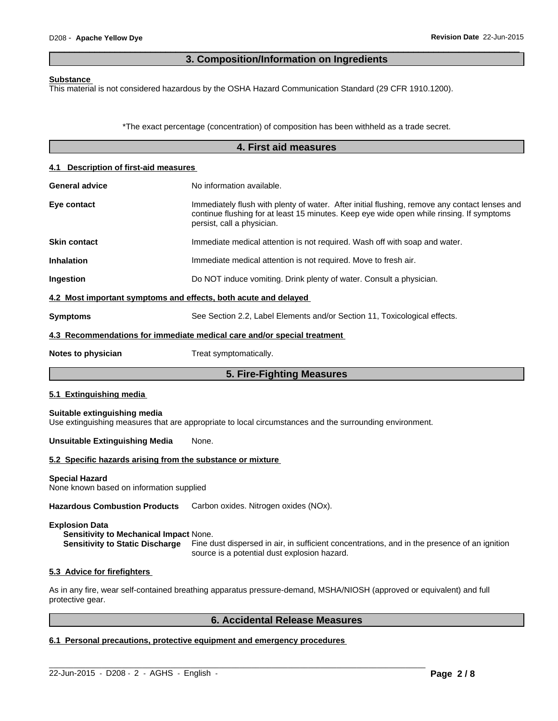# **3. Composition/Information on Ingredients**

 $\overline{\phantom{a}}$  ,  $\overline{\phantom{a}}$  ,  $\overline{\phantom{a}}$  ,  $\overline{\phantom{a}}$  ,  $\overline{\phantom{a}}$  ,  $\overline{\phantom{a}}$  ,  $\overline{\phantom{a}}$  ,  $\overline{\phantom{a}}$  ,  $\overline{\phantom{a}}$  ,  $\overline{\phantom{a}}$  ,  $\overline{\phantom{a}}$  ,  $\overline{\phantom{a}}$  ,  $\overline{\phantom{a}}$  ,  $\overline{\phantom{a}}$  ,  $\overline{\phantom{a}}$  ,  $\overline{\phantom{a}}$ 

#### **Substance**

This material is not considered hazardous by the OSHA Hazard Communication Standard (29 CFR 1910.1200).

\*The exact percentage (concentration) of composition has been withheld as a trade secret.

|                                                                   | 4. First aid measures                                                                                                                                                                                                   |  |  |  |  |
|-------------------------------------------------------------------|-------------------------------------------------------------------------------------------------------------------------------------------------------------------------------------------------------------------------|--|--|--|--|
| 4.1 Description of first-aid measures                             |                                                                                                                                                                                                                         |  |  |  |  |
| <b>General advice</b>                                             | No information available.                                                                                                                                                                                               |  |  |  |  |
| Eye contact                                                       | Immediately flush with plenty of water. After initial flushing, remove any contact lenses and<br>continue flushing for at least 15 minutes. Keep eye wide open while rinsing. If symptoms<br>persist, call a physician. |  |  |  |  |
| <b>Skin contact</b>                                               | Immediate medical attention is not required. Wash off with soap and water.                                                                                                                                              |  |  |  |  |
| <b>Inhalation</b>                                                 | Immediate medical attention is not required. Move to fresh air.                                                                                                                                                         |  |  |  |  |
| Ingestion                                                         | Do NOT induce vomiting. Drink plenty of water. Consult a physician.                                                                                                                                                     |  |  |  |  |
| 4.2 Most important symptoms and effects, both acute and delayed   |                                                                                                                                                                                                                         |  |  |  |  |
| <b>Symptoms</b>                                                   | See Section 2.2, Label Elements and/or Section 11, Toxicological effects.                                                                                                                                               |  |  |  |  |
|                                                                   | 4.3 Recommendations for immediate medical care and/or special treatment                                                                                                                                                 |  |  |  |  |
| Notes to physician                                                | Treat symptomatically.                                                                                                                                                                                                  |  |  |  |  |
|                                                                   | 5. Fire-Fighting Measures                                                                                                                                                                                               |  |  |  |  |
| 5.1 Extinguishing media                                           |                                                                                                                                                                                                                         |  |  |  |  |
| Suitable extinguishing media                                      | Use extinguishing measures that are appropriate to local circumstances and the surrounding environment.                                                                                                                 |  |  |  |  |
| <b>Unsuitable Extinguishing Media</b>                             | None.                                                                                                                                                                                                                   |  |  |  |  |
| 5.2 Specific hazards arising from the substance or mixture        |                                                                                                                                                                                                                         |  |  |  |  |
| <b>Special Hazard</b><br>None known based on information supplied |                                                                                                                                                                                                                         |  |  |  |  |
| <b>Hazardous Combustion Products</b>                              | Carbon oxides. Nitrogen oxides (NOx).                                                                                                                                                                                   |  |  |  |  |
| <b>Explosion Data</b>                                             |                                                                                                                                                                                                                         |  |  |  |  |

**Sensitivity to Mechanical Impact** None. **Sensitivity to Static Discharge** Fine dust dispersed in air, in sufficient concentrations, and in the presence of an ignition source is a potential dust explosion hazard.

#### **5.3 Advice for firefighters**

As in any fire, wear self-contained breathing apparatus pressure-demand, MSHA/NIOSH (approved or equivalent) and full protective gear.

 $\_$  ,  $\_$  ,  $\_$  ,  $\_$  ,  $\_$  ,  $\_$  ,  $\_$  ,  $\_$  ,  $\_$  ,  $\_$  ,  $\_$  ,  $\_$  ,  $\_$  ,  $\_$  ,  $\_$  ,  $\_$  ,  $\_$  ,  $\_$  ,  $\_$  ,  $\_$  ,  $\_$  ,  $\_$  ,  $\_$  ,  $\_$  ,  $\_$  ,  $\_$  ,  $\_$  ,  $\_$  ,  $\_$  ,  $\_$  ,  $\_$  ,  $\_$  ,  $\_$  ,  $\_$  ,  $\_$  ,  $\_$  ,  $\_$  ,

# **6. Accidental Release Measures**

# **6.1 Personal precautions, protective equipment and emergency procedures**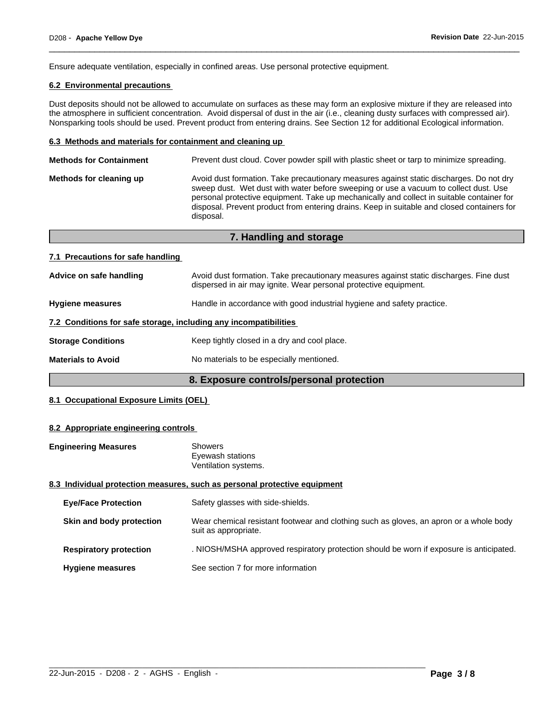Ensure adequate ventilation, especially in confined areas. Use personal protective equipment.

# **6.2 Environmental precautions**

Dust deposits should not be allowed to accumulate on surfaces as these may form an explosive mixture if they are released into the atmosphere in sufficient concentration. Avoid dispersal of dust in the air (i.e., cleaning dusty surfaces with compressed air). Nonsparking tools should be used. Prevent product from entering drains. See Section 12 for additional Ecological information.

 $\overline{\phantom{a}}$  ,  $\overline{\phantom{a}}$  ,  $\overline{\phantom{a}}$  ,  $\overline{\phantom{a}}$  ,  $\overline{\phantom{a}}$  ,  $\overline{\phantom{a}}$  ,  $\overline{\phantom{a}}$  ,  $\overline{\phantom{a}}$  ,  $\overline{\phantom{a}}$  ,  $\overline{\phantom{a}}$  ,  $\overline{\phantom{a}}$  ,  $\overline{\phantom{a}}$  ,  $\overline{\phantom{a}}$  ,  $\overline{\phantom{a}}$  ,  $\overline{\phantom{a}}$  ,  $\overline{\phantom{a}}$ 

#### **6.3 Methods and materials for containment and cleaning up**

| <b>Methods for Containment</b> | Prevent dust cloud. Cover powder spill with plastic sheet or tarp to minimize spreading.                                                                                                                                                                                                                                                                                                |
|--------------------------------|-----------------------------------------------------------------------------------------------------------------------------------------------------------------------------------------------------------------------------------------------------------------------------------------------------------------------------------------------------------------------------------------|
| Methods for cleaning up        | Avoid dust formation. Take precautionary measures against static discharges. Do not dry<br>sweep dust. Wet dust with water before sweeping or use a vacuum to collect dust. Use<br>personal protective equipment. Take up mechanically and collect in suitable container for<br>disposal. Prevent product from entering drains. Keep in suitable and closed containers for<br>disposal. |
|                                |                                                                                                                                                                                                                                                                                                                                                                                         |

|                                                                  | 7. Handling and storage                                                                                                                                    |
|------------------------------------------------------------------|------------------------------------------------------------------------------------------------------------------------------------------------------------|
| 7.1 Precautions for safe handling                                |                                                                                                                                                            |
| Advice on safe handling                                          | Avoid dust formation. Take precautionary measures against static discharges. Fine dust<br>dispersed in air may ignite. Wear personal protective equipment. |
| <b>Hygiene measures</b>                                          | Handle in accordance with good industrial hygiene and safety practice.                                                                                     |
| 7.2 Conditions for safe storage, including any incompatibilities |                                                                                                                                                            |
| <b>Storage Conditions</b>                                        | Keep tightly closed in a dry and cool place.                                                                                                               |
| <b>Materials to Avoid</b>                                        | No materials to be especially mentioned.                                                                                                                   |

# **8. Exposure controls/personal protection**

# **8.1 Occupational Exposure Limits (OEL)**

#### **8.2 Appropriate engineering controls**

| <b>Engineering Measures</b> | Showers                                                                   |  |
|-----------------------------|---------------------------------------------------------------------------|--|
|                             | Eyewash stations                                                          |  |
|                             | Ventilation systems.                                                      |  |
|                             | 8.3 Individual protection measures, such as personal protective equipment |  |

#### **8.3 Individual protection measures, such as personal protective equipment**

| <b>Eye/Face Protection</b>    | Safety glasses with side-shields.                                                                              |
|-------------------------------|----------------------------------------------------------------------------------------------------------------|
| Skin and body protection      | Wear chemical resistant footwear and clothing such as gloves, an apron or a whole body<br>suit as appropriate. |
| <b>Respiratory protection</b> | . NIOSH/MSHA approved respiratory protection should be worn if exposure is anticipated.                        |
| <b>Hygiene measures</b>       | See section 7 for more information                                                                             |

 $\_$  ,  $\_$  ,  $\_$  ,  $\_$  ,  $\_$  ,  $\_$  ,  $\_$  ,  $\_$  ,  $\_$  ,  $\_$  ,  $\_$  ,  $\_$  ,  $\_$  ,  $\_$  ,  $\_$  ,  $\_$  ,  $\_$  ,  $\_$  ,  $\_$  ,  $\_$  ,  $\_$  ,  $\_$  ,  $\_$  ,  $\_$  ,  $\_$  ,  $\_$  ,  $\_$  ,  $\_$  ,  $\_$  ,  $\_$  ,  $\_$  ,  $\_$  ,  $\_$  ,  $\_$  ,  $\_$  ,  $\_$  ,  $\_$  ,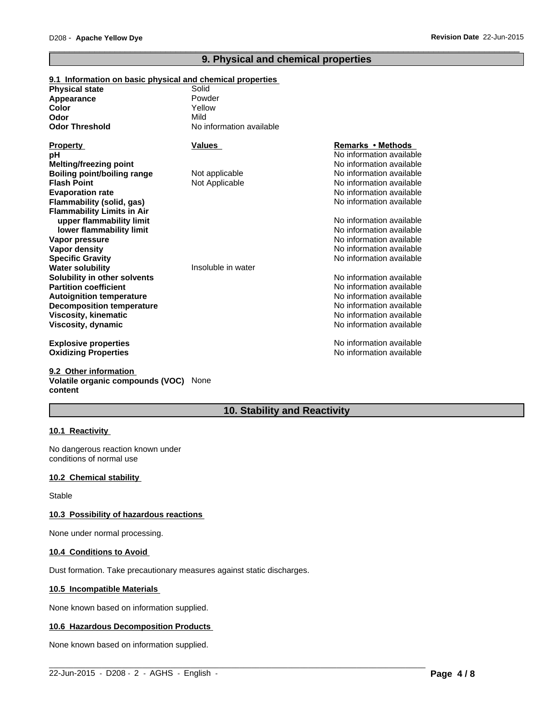# **9. Physical and chemical properties**

 $\overline{\phantom{a}}$  ,  $\overline{\phantom{a}}$  ,  $\overline{\phantom{a}}$  ,  $\overline{\phantom{a}}$  ,  $\overline{\phantom{a}}$  ,  $\overline{\phantom{a}}$  ,  $\overline{\phantom{a}}$  ,  $\overline{\phantom{a}}$  ,  $\overline{\phantom{a}}$  ,  $\overline{\phantom{a}}$  ,  $\overline{\phantom{a}}$  ,  $\overline{\phantom{a}}$  ,  $\overline{\phantom{a}}$  ,  $\overline{\phantom{a}}$  ,  $\overline{\phantom{a}}$  ,  $\overline{\phantom{a}}$ 

| 9.1 Information on basic physical and chemical properties |                          |                          |
|-----------------------------------------------------------|--------------------------|--------------------------|
| <b>Physical state</b>                                     | Solid                    |                          |
| Appearance                                                | Powder                   |                          |
| <b>Color</b>                                              | Yellow                   |                          |
| Odor                                                      | Mild                     |                          |
| <b>Odor Threshold</b>                                     | No information available |                          |
| <b>Property</b>                                           | Values                   | Remarks • Methods        |
| рH                                                        |                          | No information available |
| <b>Melting/freezing point</b>                             |                          | No information available |
| Boiling point/boiling range                               | Not applicable           | No information available |
| <b>Flash Point</b>                                        | Not Applicable           | No information available |
| <b>Evaporation rate</b>                                   |                          | No information available |
| <b>Flammability (solid, gas)</b>                          |                          | No information available |
| <b>Flammability Limits in Air</b>                         |                          |                          |
| upper flammability limit                                  |                          | No information available |
| lower flammability limit                                  |                          | No information available |
| Vapor pressure                                            |                          | No information available |
| <b>Vapor density</b>                                      |                          | No information available |
| <b>Specific Gravity</b>                                   |                          | No information available |
| <b>Water solubility</b>                                   | Insoluble in water       |                          |
| Solubility in other solvents                              |                          | No information available |
| <b>Partition coefficient</b>                              |                          | No information available |
| <b>Autoignition temperature</b>                           |                          | No information available |
| <b>Decomposition temperature</b>                          |                          | No information available |
| <b>Viscosity, kinematic</b>                               |                          | No information available |
| Viscosity, dynamic                                        |                          | No information available |
| <b>Explosive properties</b>                               |                          | No information available |
| <b>Oxidizing Properties</b>                               |                          | No information available |
|                                                           |                          |                          |

#### **9.2 Other information Volatile organic compounds (VOC)** None **content**

# **10. Stability and Reactivity**

 $\_$  ,  $\_$  ,  $\_$  ,  $\_$  ,  $\_$  ,  $\_$  ,  $\_$  ,  $\_$  ,  $\_$  ,  $\_$  ,  $\_$  ,  $\_$  ,  $\_$  ,  $\_$  ,  $\_$  ,  $\_$  ,  $\_$  ,  $\_$  ,  $\_$  ,  $\_$  ,  $\_$  ,  $\_$  ,  $\_$  ,  $\_$  ,  $\_$  ,  $\_$  ,  $\_$  ,  $\_$  ,  $\_$  ,  $\_$  ,  $\_$  ,  $\_$  ,  $\_$  ,  $\_$  ,  $\_$  ,  $\_$  ,  $\_$  ,

# **10.1 Reactivity**

No dangerous reaction known under conditions of normal use

#### **10.2 Chemical stability**

Stable

#### **10.3 Possibility of hazardous reactions**

None under normal processing.

#### **10.4 Conditions to Avoid**

Dust formation. Take precautionary measures against static discharges.

#### **10.5 Incompatible Materials**

None known based on information supplied.

#### **10.6 Hazardous Decomposition Products**

None known based on information supplied.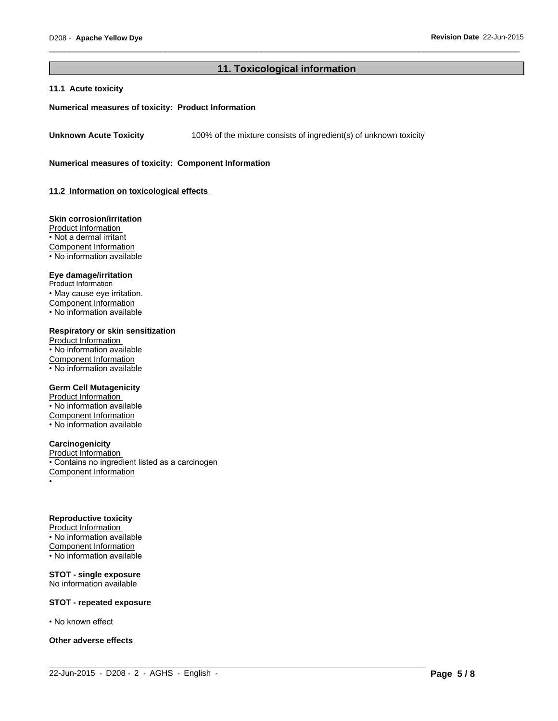# **11. Toxicological information**

 $\_$  ,  $\_$  ,  $\_$  ,  $\_$  ,  $\_$  ,  $\_$  ,  $\_$  ,  $\_$  ,  $\_$  ,  $\_$  ,  $\_$  ,  $\_$  ,  $\_$  ,  $\_$  ,  $\_$  ,  $\_$  ,  $\_$  ,  $\_$  ,  $\_$  ,  $\_$  ,  $\_$  ,  $\_$  ,  $\_$  ,  $\_$  ,  $\_$  ,  $\_$  ,  $\_$  ,  $\_$  ,  $\_$  ,  $\_$  ,  $\_$  ,  $\_$  ,  $\_$  ,  $\_$  ,  $\_$  ,  $\_$  ,  $\_$  ,

 $\overline{\phantom{a}}$  ,  $\overline{\phantom{a}}$  ,  $\overline{\phantom{a}}$  ,  $\overline{\phantom{a}}$  ,  $\overline{\phantom{a}}$  ,  $\overline{\phantom{a}}$  ,  $\overline{\phantom{a}}$  ,  $\overline{\phantom{a}}$  ,  $\overline{\phantom{a}}$  ,  $\overline{\phantom{a}}$  ,  $\overline{\phantom{a}}$  ,  $\overline{\phantom{a}}$  ,  $\overline{\phantom{a}}$  ,  $\overline{\phantom{a}}$  ,  $\overline{\phantom{a}}$  ,  $\overline{\phantom{a}}$ 

#### **11.1 Acute toxicity**

#### **Numerical measures of toxicity: Product Information**

**Unknown Acute Toxicity** 100% of the mixture consists of ingredient(s) of unknown toxicity

**Numerical measures of toxicity: Component Information**

**11.2 Information on toxicological effects** 

#### **Skin corrosion/irritation**

Product Information • Not a dermal irritant Component Information • No information available

# **Eye damage/irritation**

Product Information • May cause eye irritation. Component Information • No information available

#### **Respiratory or skin sensitization**

Product Information  $\overline{\cdot}$  No information available Component Information • No information available

#### **Germ Cell Mutagenicity**

Product Information • No information available Component Information • No information available

#### **Carcinogenicity**

Product Information • Contains no ingredient listed as a carcinogen Component Information •

#### **Reproductive toxicity**

Product Information • No information available Component Information  $\cdot$  No information available

#### **STOT - single exposure** No information available

#### **STOT - repeated exposure**

• No known effect

**Other adverse effects**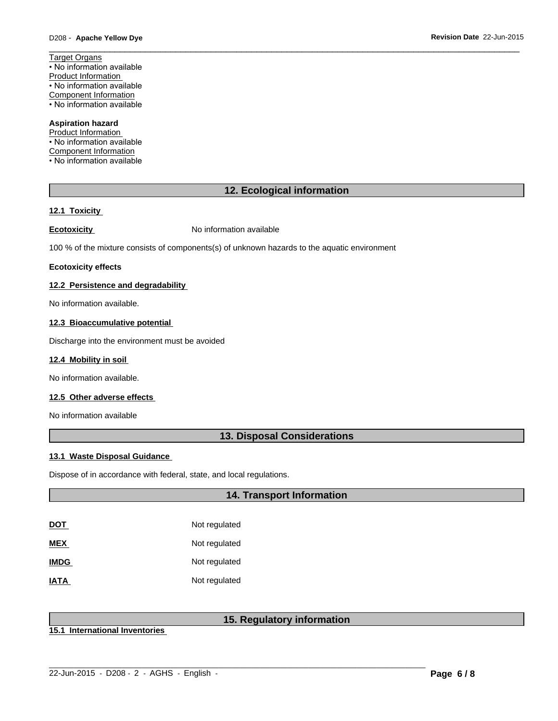Target Organs • No information available Product Information • No information available Component Information • No information available

### **Aspiration hazard**

Product Information • No information available Component Information • No information available

# **12. Ecological information**

 $\overline{\phantom{a}}$  ,  $\overline{\phantom{a}}$  ,  $\overline{\phantom{a}}$  ,  $\overline{\phantom{a}}$  ,  $\overline{\phantom{a}}$  ,  $\overline{\phantom{a}}$  ,  $\overline{\phantom{a}}$  ,  $\overline{\phantom{a}}$  ,  $\overline{\phantom{a}}$  ,  $\overline{\phantom{a}}$  ,  $\overline{\phantom{a}}$  ,  $\overline{\phantom{a}}$  ,  $\overline{\phantom{a}}$  ,  $\overline{\phantom{a}}$  ,  $\overline{\phantom{a}}$  ,  $\overline{\phantom{a}}$ 

#### **12.1 Toxicity**

**Ecotoxicity No information available** 

100 % of the mixture consists of components(s) of unknown hazards to the aquatic environment

#### **Ecotoxicity effects**

### **12.2 Persistence and degradability**

No information available.

#### **12.3 Bioaccumulative potential**

Discharge into the environment must be avoided

#### **12.4 Mobility in soil**

No information available.

# **12.5 Other adverse effects**

No information available

# **13. Disposal Considerations**

#### **13.1 Waste Disposal Guidance**

Dispose of in accordance with federal, state, and local regulations.

# **14. Transport Information**

| <u>DOT</u>  | Not regulated |
|-------------|---------------|
| <b>MEX</b>  | Not regulated |
| <b>IMDG</b> | Not regulated |
| <b>IATA</b> | Not regulated |

# **15. Regulatory information**

 $\_$  ,  $\_$  ,  $\_$  ,  $\_$  ,  $\_$  ,  $\_$  ,  $\_$  ,  $\_$  ,  $\_$  ,  $\_$  ,  $\_$  ,  $\_$  ,  $\_$  ,  $\_$  ,  $\_$  ,  $\_$  ,  $\_$  ,  $\_$  ,  $\_$  ,  $\_$  ,  $\_$  ,  $\_$  ,  $\_$  ,  $\_$  ,  $\_$  ,  $\_$  ,  $\_$  ,  $\_$  ,  $\_$  ,  $\_$  ,  $\_$  ,  $\_$  ,  $\_$  ,  $\_$  ,  $\_$  ,  $\_$  ,  $\_$  ,

**15.1 International Inventories**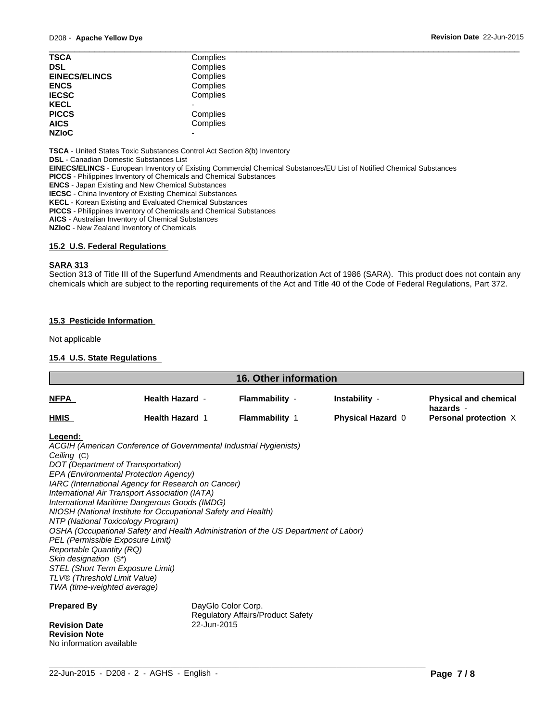| <b>TSCA</b>          | Complies |  |
|----------------------|----------|--|
| <b>DSL</b>           | Complies |  |
| <b>EINECS/ELINCS</b> | Complies |  |
| <b>ENCS</b>          | Complies |  |
| <b>IECSC</b>         | Complies |  |
| <b>KECL</b>          |          |  |
| <b>PICCS</b>         | Complies |  |
| <b>AICS</b>          | Complies |  |
| <b>NZIoC</b>         | -        |  |
|                      |          |  |

**TSCA** - United States Toxic Substances Control Act Section 8(b) Inventory

**DSL** - Canadian Domestic Substances List

**EINECS/ELINCS** - European Inventory of Existing Commercial Chemical Substances/EU List of Notified Chemical Substances

**PICCS** - Philippines Inventory of Chemicals and Chemical Substances

**ENCS** - Japan Existing and New Chemical Substances

**IECSC** - China Inventory of Existing Chemical Substances

**KECL** - Korean Existing and Evaluated Chemical Substances

**PICCS** - Philippines Inventory of Chemicals and Chemical Substances

**AICS** - Australian Inventory of Chemical Substances

**NZIoC** - New Zealand Inventory of Chemicals

#### **15.2 U.S. Federal Regulations**

#### **SARA 313**

Section 313 of Title III of the Superfund Amendments and Reauthorization Act of 1986 (SARA). This product does not contain any chemicals which are subject to the reporting requirements of the Act and Title 40 of the Code of Federal Regulations, Part 372.

### **15.3 Pesticide Information**

Not applicable

### **15.4 U.S. State Regulations**

| <u>NFPA</u>                                                                                                                                                                                                                                                                                                                                                                                                                                                                                                                                                                                                                                                                                                                        | <b>Health Hazard -</b>            |                                   |                   |                                           |
|------------------------------------------------------------------------------------------------------------------------------------------------------------------------------------------------------------------------------------------------------------------------------------------------------------------------------------------------------------------------------------------------------------------------------------------------------------------------------------------------------------------------------------------------------------------------------------------------------------------------------------------------------------------------------------------------------------------------------------|-----------------------------------|-----------------------------------|-------------------|-------------------------------------------|
|                                                                                                                                                                                                                                                                                                                                                                                                                                                                                                                                                                                                                                                                                                                                    |                                   | Flammability -                    | Instability -     | <b>Physical and chemical</b><br>hazards - |
| HMIS                                                                                                                                                                                                                                                                                                                                                                                                                                                                                                                                                                                                                                                                                                                               | <b>Health Hazard 1</b>            | <b>Flammability 1</b>             | Physical Hazard 0 | Personal protection X                     |
| Legend:<br>ACGIH (American Conference of Governmental Industrial Hygienists)<br>Ceiling (C)<br>DOT (Department of Transportation)<br>EPA (Environmental Protection Agency)<br>IARC (International Agency for Research on Cancer)<br>International Air Transport Association (IATA)<br>International Maritime Dangerous Goods (IMDG)<br>NIOSH (National Institute for Occupational Safety and Health)<br>NTP (National Toxicology Program)<br>OSHA (Occupational Safety and Health Administration of the US Department of Labor)<br>PEL (Permissible Exposure Limit)<br><b>Reportable Quantity (RQ)</b><br>Skin designation (S*)<br>STEL (Short Term Exposure Limit)<br>TLV® (Threshold Limit Value)<br>TWA (time-weighted average) |                                   |                                   |                   |                                           |
| <b>Prepared By</b><br><b>Revision Date</b><br><b>Revision Note</b>                                                                                                                                                                                                                                                                                                                                                                                                                                                                                                                                                                                                                                                                 | DayGlo Color Corp.<br>22-Jun-2015 | Regulatory Affairs/Product Safety |                   |                                           |

 $\_$  ,  $\_$  ,  $\_$  ,  $\_$  ,  $\_$  ,  $\_$  ,  $\_$  ,  $\_$  ,  $\_$  ,  $\_$  ,  $\_$  ,  $\_$  ,  $\_$  ,  $\_$  ,  $\_$  ,  $\_$  ,  $\_$  ,  $\_$  ,  $\_$  ,  $\_$  ,  $\_$  ,  $\_$  ,  $\_$  ,  $\_$  ,  $\_$  ,  $\_$  ,  $\_$  ,  $\_$  ,  $\_$  ,  $\_$  ,  $\_$  ,  $\_$  ,  $\_$  ,  $\_$  ,  $\_$  ,  $\_$  ,  $\_$  ,

No information available